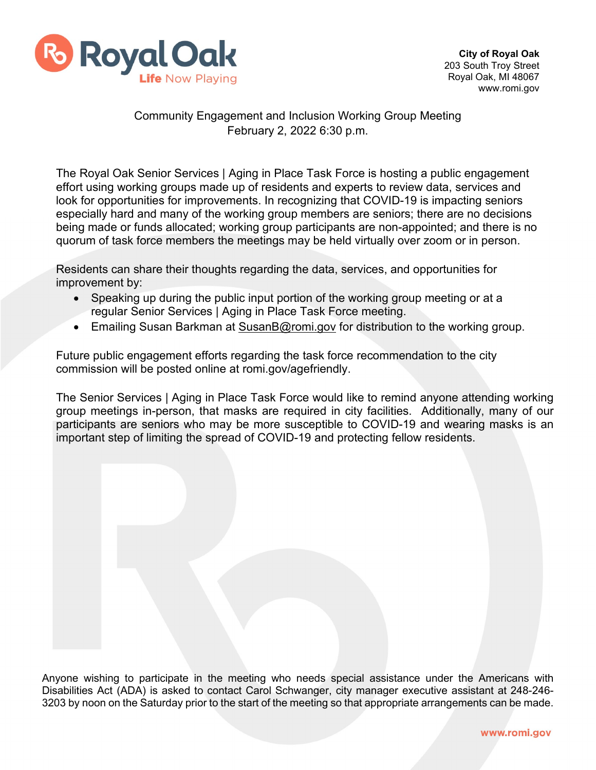

## Community Engagement and Inclusion Working Group Meeting February 2, 2022 6:30 p.m.

The Royal Oak Senior Services | Aging in Place Task Force is hosting a public engagement effort using working groups made up of residents and experts to review data, services and look for opportunities for improvements. In recognizing that COVID-19 is impacting seniors especially hard and many of the working group members are seniors; there are no decisions being made or funds allocated; working group participants are non-appointed; and there is no quorum of task force members the meetings may be held virtually over zoom or in person.

Residents can share their thoughts regarding the data, services, and opportunities for improvement by:

- Speaking up during the public input portion of the working group meeting or at a regular Senior Services | Aging in Place Task Force meeting.
- Emailing Susan Barkman at [SusanB@romi.gov](mailto:SusanB@romi.gov) for distribution to the working group.

Future public engagement efforts regarding the task force recommendation to the city commission will be posted online at romi.gov/agefriendly.

The Senior Services | Aging in Place Task Force would like to remind anyone attending working group meetings in-person, that masks are required in city facilities. Additionally, many of our participants are seniors who may be more susceptible to COVID-19 and wearing masks is an important step of limiting the spread of COVID-19 and protecting fellow residents.

Anyone wishing to participate in the meeting who needs special assistance under the Americans with Disabilities Act (ADA) is asked to contact Carol Schwanger, city manager executive assistant at 248-246- 3203 by noon on the Saturday prior to the start of the meeting so that appropriate arrangements can be made.